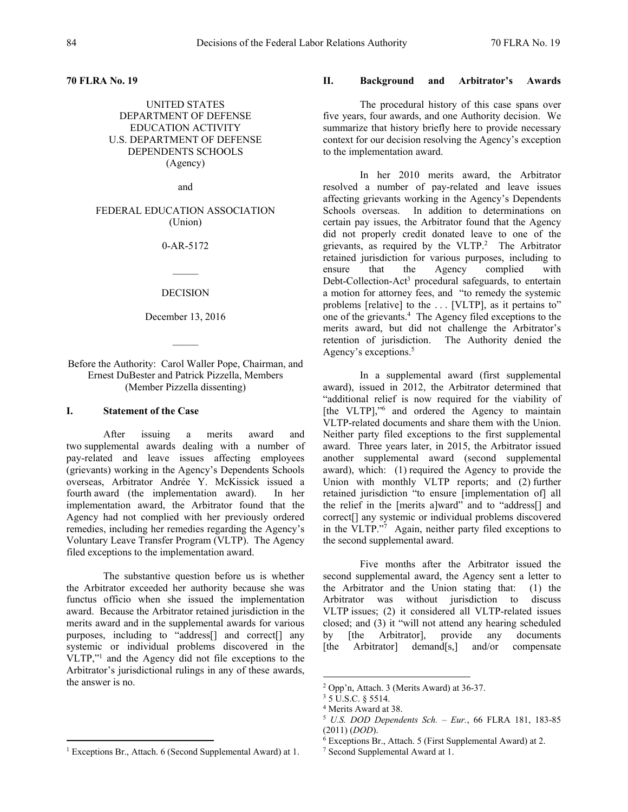**70 FLRA No. 19** 

UNITED STATES DEPARTMENT OF DEFENSE EDUCATION ACTIVITY U.S. DEPARTMENT OF DEFENSE DEPENDENTS SCHOOLS (Agency)

and

FEDERAL EDUCATION ASSOCIATION (Union)

#### 0-AR-5172

#### DECISION

#### December 13, 2016

Before the Authority: Carol Waller Pope, Chairman, and Ernest DuBester and Patrick Pizzella, Members (Member Pizzella dissenting)

#### **I. Statement of the Case**

 After issuing a merits award and two supplemental awards dealing with a number of pay-related and leave issues affecting employees (grievants) working in the Agency's Dependents Schools overseas, Arbitrator Andrée Y. McKissick issued a fourth award (the implementation award). In her implementation award, the Arbitrator found that the Agency had not complied with her previously ordered remedies, including her remedies regarding the Agency's Voluntary Leave Transfer Program (VLTP). The Agency filed exceptions to the implementation award.

 The substantive question before us is whether the Arbitrator exceeded her authority because she was functus officio when she issued the implementation award. Because the Arbitrator retained jurisdiction in the merits award and in the supplemental awards for various purposes, including to "address[] and correct[] any systemic or individual problems discovered in the VLTP,"1 and the Agency did not file exceptions to the Arbitrator's jurisdictional rulings in any of these awards, the answer is no.

#### **II. Background and Arbitrator's Awards**

 The procedural history of this case spans over five years, four awards, and one Authority decision. We summarize that history briefly here to provide necessary context for our decision resolving the Agency's exception to the implementation award.

In her 2010 merits award, the Arbitrator resolved a number of pay-related and leave issues affecting grievants working in the Agency's Dependents Schools overseas. In addition to determinations on certain pay issues, the Arbitrator found that the Agency did not properly credit donated leave to one of the grievants, as required by the VLTP.<sup>2</sup> The Arbitrator retained jurisdiction for various purposes, including to ensure that the Agency complied with Debt-Collection-Act<sup>3</sup> procedural safeguards, to entertain a motion for attorney fees, and "to remedy the systemic problems [relative] to the . . . [VLTP], as it pertains to" one of the grievants.<sup>4</sup> The Agency filed exceptions to the merits award, but did not challenge the Arbitrator's retention of jurisdiction. The Authority denied the Agency's exceptions.<sup>5</sup>

In a supplemental award (first supplemental award), issued in 2012, the Arbitrator determined that "additional relief is now required for the viability of [the VLTP],"<sup>6</sup> and ordered the Agency to maintain VLTP-related documents and share them with the Union. Neither party filed exceptions to the first supplemental award. Three years later, in 2015, the Arbitrator issued another supplemental award (second supplemental award), which: (1) required the Agency to provide the Union with monthly VLTP reports; and (2) further retained jurisdiction "to ensure [implementation of] all the relief in the [merits a]ward" and to "address[] and correct[] any systemic or individual problems discovered in the VLTP."7 Again, neither party filed exceptions to the second supplemental award.

Five months after the Arbitrator issued the second supplemental award, the Agency sent a letter to the Arbitrator and the Union stating that: (1) the Arbitrator was without jurisdiction to discuss VLTP issues; (2) it considered all VLTP-related issues closed; and (3) it "will not attend any hearing scheduled by [the Arbitrator], provide any documents [the Arbitrator] demand[s,] and/or compensate

 $\overline{a}$ 

 $2$  Opp'n, Attach. 3 (Merits Award) at 36-37.<br> $3$  5 U.S.C.  $8$  5514.

<sup>4</sup> Merits Award at 38.

<sup>5</sup> *U.S. DOD Dependents Sch. – Eur.*, 66 FLRA 181, 183-85 (2011) (*DOD*).<br><sup>6</sup> Exceptions Br., Attach. 5 (First Supplemental Award) at 2.<br><sup>7</sup> Second Supplemental Award at 1.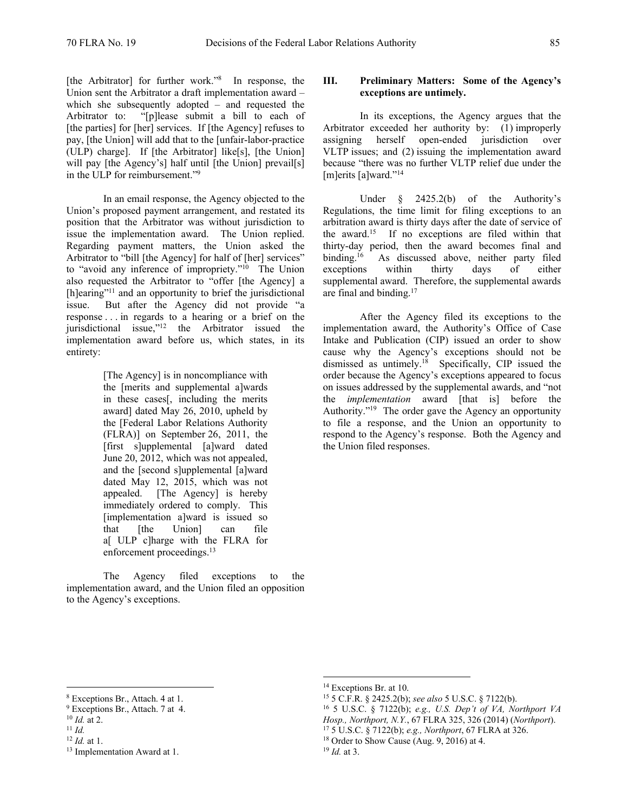[the Arbitrator] for further work."<sup>8</sup> In response, the Union sent the Arbitrator a draft implementation award – which she subsequently adopted – and requested the Arbitrator to: "[p]lease submit a bill to each of [the parties] for [her] services. If [the Agency] refuses to pay, [the Union] will add that to the [unfair-labor-practice (ULP) charge]. If [the Arbitrator] like[s], [the Union] will pay [the Agency's] half until [the Union] prevail[s] in the ULP for reimbursement."9

In an email response, the Agency objected to the Union's proposed payment arrangement, and restated its position that the Arbitrator was without jurisdiction to issue the implementation award. The Union replied. Regarding payment matters, the Union asked the Arbitrator to "bill [the Agency] for half of [her] services" to "avoid any inference of impropriety."<sup>10</sup> The Union also requested the Arbitrator to "offer [the Agency] a [h]earing"<sup>11</sup> and an opportunity to brief the jurisdictional issue. But after the Agency did not provide "a response . . . in regards to a hearing or a brief on the jurisdictional issue,"12 the Arbitrator issued the implementation award before us, which states, in its entirety:

> [The Agency] is in noncompliance with the [merits and supplemental a]wards in these cases[, including the merits award] dated May 26, 2010, upheld by the [Federal Labor Relations Authority (FLRA)] on September 26, 2011, the [first s]upplemental [a]ward dated June 20, 2012, which was not appealed, and the [second s]upplemental [a]ward dated May 12, 2015, which was not appealed. [The Agency] is hereby immediately ordered to comply. This [implementation a]ward is issued so that [the Union] can file a[ ULP c]harge with the FLRA for enforcement proceedings.<sup>13</sup>

The Agency filed exceptions to the implementation award, and the Union filed an opposition to the Agency's exceptions.

# **III. Preliminary Matters: Some of the Agency's exceptions are untimely.**

 In its exceptions, the Agency argues that the Arbitrator exceeded her authority by: (1) improperly assigning herself open-ended jurisdiction over VLTP issues; and (2) issuing the implementation award because "there was no further VLTP relief due under the [m]erits [a]ward."<sup>14</sup>

Under  $\S$  2425.2(b) of the Authority's Regulations, the time limit for filing exceptions to an arbitration award is thirty days after the date of service of the award.15 If no exceptions are filed within that thirty-day period, then the award becomes final and binding.<sup>16</sup> As discussed above, neither party filed exceptions within thirty days of either supplemental award. Therefore, the supplemental awards are final and binding.17

After the Agency filed its exceptions to the implementation award, the Authority's Office of Case Intake and Publication (CIP) issued an order to show cause why the Agency's exceptions should not be dismissed as untimely.<sup>18</sup> Specifically, CIP issued the order because the Agency's exceptions appeared to focus on issues addressed by the supplemental awards, and "not the *implementation* award [that is] before the Authority."19 The order gave the Agency an opportunity to file a response, and the Union an opportunity to respond to the Agency's response. Both the Agency and the Union filed responses.

 $\overline{a}$ 

<sup>8</sup> Exceptions Br., Attach. 4 at 1.

<sup>9</sup> Exceptions Br., Attach. 7 at 4.

<sup>10</sup> *Id.* at 2.<br><sup>11</sup> *Id.* <sup>12</sup> *Id.* at 1.

<sup>&</sup>lt;sup>13</sup> Implementation Award at 1.

<sup>&</sup>lt;sup>14</sup> Exceptions Br. at 10.<br><sup>15</sup> 5 C.F.R. § 2425.2(b); *see also* 5 U.S.C. § 7122(b).

<sup>&</sup>lt;sup>16</sup> 5 U.S.C. § 7122(b); *e.g., U.S. Dep't of VA, Northport VA* 

*Hosp., Northport, N.Y.*, 67 FLRA 325, 326 (2014) (*Northport*). <sup>17</sup> 5 U.S.C. § 7122(b); *e.g., Northport*, 67 FLRA at 326. <sup>18</sup> Order to Show Cause (Aug. 9, 2016) at 4.

<sup>19</sup> *Id.* at 3.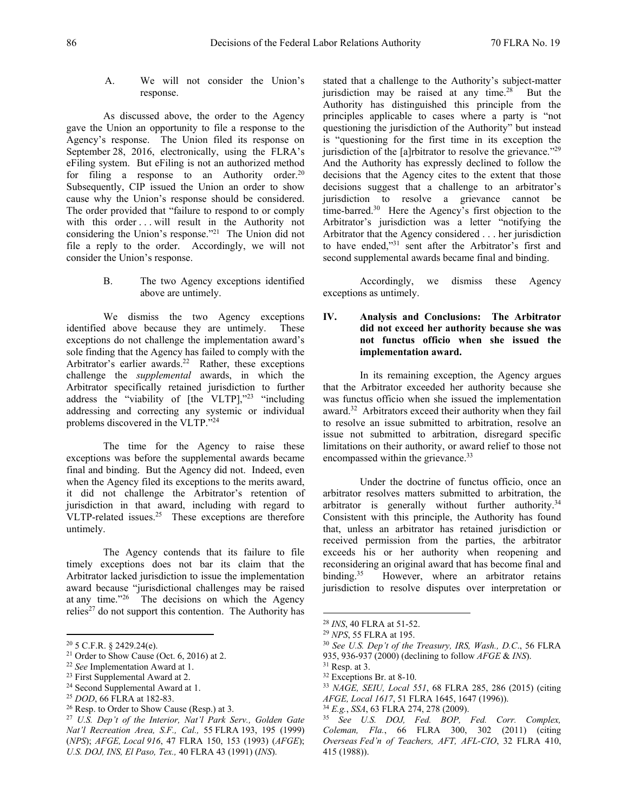A. We will not consider the Union's response.

 As discussed above, the order to the Agency gave the Union an opportunity to file a response to the Agency's response. The Union filed its response on September 28, 2016, electronically, using the FLRA's eFiling system. But eFiling is not an authorized method for filing a response to an Authority order.<sup>20</sup> Subsequently, CIP issued the Union an order to show cause why the Union's response should be considered. The order provided that "failure to respond to or comply with this order ... will result in the Authority not considering the Union's response."21 The Union did not file a reply to the order. Accordingly, we will not consider the Union's response.

> B. The two Agency exceptions identified above are untimely.

We dismiss the two Agency exceptions identified above because they are untimely. These exceptions do not challenge the implementation award's sole finding that the Agency has failed to comply with the Arbitrator's earlier awards.<sup>22</sup> Rather, these exceptions challenge the *supplemental* awards, in which the Arbitrator specifically retained jurisdiction to further address the "viability of [the VLTP],"23 "including addressing and correcting any systemic or individual problems discovered in the VLTP."24

The time for the Agency to raise these exceptions was before the supplemental awards became final and binding. But the Agency did not. Indeed, even when the Agency filed its exceptions to the merits award, it did not challenge the Arbitrator's retention of jurisdiction in that award, including with regard to  $VLTP$ -related issues.<sup>25</sup> These exceptions are therefore untimely.

The Agency contends that its failure to file timely exceptions does not bar its claim that the Arbitrator lacked jurisdiction to issue the implementation award because "jurisdictional challenges may be raised at any time."<sup>26</sup> The decisions on which the Agency relies<sup>27</sup> do not support this contention. The Authority has

 $\overline{a}$ 

21 Order to Show Cause (Oct. 6, 2016) at 2. 22 *See* Implementation Award at 1. 23 First Supplemental Award at 2.

stated that a challenge to the Authority's subject-matter jurisdiction may be raised at any time. $28$  But the Authority has distinguished this principle from the principles applicable to cases where a party is "not questioning the jurisdiction of the Authority" but instead is "questioning for the first time in its exception the jurisdiction of the [a]rbitrator to resolve the grievance."<sup>29</sup> And the Authority has expressly declined to follow the decisions that the Agency cites to the extent that those decisions suggest that a challenge to an arbitrator's jurisdiction to resolve a grievance cannot be time-barred.<sup>30</sup> Here the Agency's first objection to the Arbitrator's jurisdiction was a letter "notifying the Arbitrator that the Agency considered . . . her jurisdiction to have ended,"31 sent after the Arbitrator's first and second supplemental awards became final and binding.

Accordingly, we dismiss these Agency exceptions as untimely.

## **IV. Analysis and Conclusions: The Arbitrator did not exceed her authority because she was not functus officio when she issued the implementation award.**

In its remaining exception, the Agency argues that the Arbitrator exceeded her authority because she was functus officio when she issued the implementation award.<sup>32</sup> Arbitrators exceed their authority when they fail to resolve an issue submitted to arbitration, resolve an issue not submitted to arbitration, disregard specific limitations on their authority, or award relief to those not encompassed within the grievance.<sup>33</sup>

Under the doctrine of functus officio, once an arbitrator resolves matters submitted to arbitration, the arbitrator is generally without further authority.34 Consistent with this principle, the Authority has found that, unless an arbitrator has retained jurisdiction or received permission from the parties, the arbitrator exceeds his or her authority when reopening and reconsidering an original award that has become final and binding.<sup>35</sup> However, where an arbitrator retains jurisdiction to resolve disputes over interpretation or

- <sup>28</sup> *INS*, 40 FLRA at 51-52. 29 *NPS*, 55 FLRA at 195. 30 *See U.S. Dep't of the Treasury, IRS, Wash., D.C*., 56 FLRA
- 935, 936-937 (2000) (declining to follow *AFGE* & *INS*). 31 Resp. at 3.

- <sup>32</sup> Exceptions Br. at 8-10.
- <sup>33</sup> *NAGE, SEIU, Local 551*, 68 FLRA 285, 286 (2015) (citing *AFGE, Local 1617, 51 FLRA 1645, 1647 (1996)).*<br><sup>34</sup> *E.g., SSA, 63 FLRA 274, 278 (2009).*<br><sup>35</sup> *See U.S. DOJ, Fed. BOP, Fed. Corr. Complex,*
- 

 $20$  5 C.F.R. § 2429.24(e).

 $^{24}$  Second Supplemental Award at 1.<br> $^{25}$  DOD, 66 FLRA at 182-83.

<sup>&</sup>lt;sup>26</sup> Resp. to Order to Show Cause (Resp.) at 3.

<sup>27</sup> *U.S. Dep't of the Interior, Nat'l Park Serv., Golden Gate Nat'l Recreation Area, S.F., Cal.,* 55 FLRA 193, 195 (1999) (*NPS*); *AFGE, Local 916*, 47 FLRA 150, 153 (1993) (*AFGE*); *U.S. DOJ, INS, El Paso, Tex.,* 40 FLRA 43 (1991) (*INS*).

*Coleman, Fla.*, 66 FLRA 300, 302 (2011) (citing *Overseas Fed'n of Teachers, AFT, AFL-CIO*, 32 FLRA 410, 415 (1988)).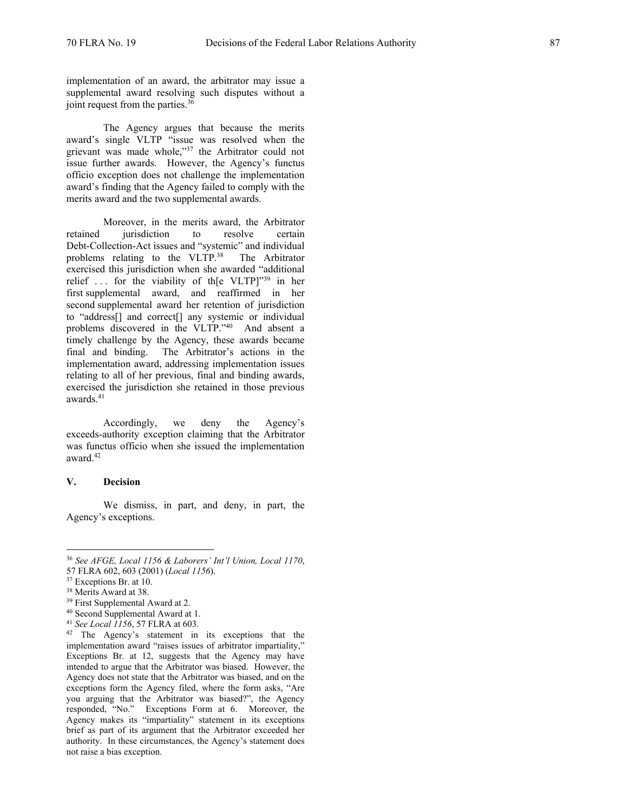implementation of an award, the arbitrator may issue a supplemental award resolving such disputes without a joint request from the parties.<sup>36</sup>

The Agency argues that because the merits award's single VLTP "issue was resolved when the grievant was made whole,"37 the Arbitrator could not issue further awards. However, the Agency's functus officio exception does not challenge the implementation award's finding that the Agency failed to comply with the merits award and the two supplemental awards.

Moreover, in the merits award, the Arbitrator retained jurisdiction to resolve certain Debt-Collection-Act issues and "systemic" and individual problems relating to the VLTP.38 The Arbitrator exercised this jurisdiction when she awarded "additional relief . . . for the viability of th[e VLTP]"39 in her first supplemental award, and reaffirmed in her second supplemental award her retention of jurisdiction to "address[] and correct[] any systemic or individual problems discovered in the VLTP."40 And absent a timely challenge by the Agency, these awards became final and binding. The Arbitrator's actions in the implementation award, addressing implementation issues relating to all of her previous, final and binding awards, exercised the jurisdiction she retained in those previous awards<sup>41</sup>

Accordingly, we deny the Agency's exceeds-authority exception claiming that the Arbitrator was functus officio when she issued the implementation award.42

## **V. Decision**

 $\overline{a}$ 

 We dismiss, in part, and deny, in part, the Agency's exceptions.

<sup>36</sup> *See AFGE, Local 1156 & Laborers' Int'l Union, Local 1170*,

<sup>57</sup> FLRA 602, 603 (2001) (*Local 1156*). 37 Exceptions Br. at 10.

<sup>38</sup> Merits Award at 38.

<sup>39</sup> First Supplemental Award at 2.

 $40$  Second Supplemental Award at 1.<br> $41$  See Local 1156, 57 FLRA at 603.

<sup>&</sup>lt;sup>42</sup> The Agency's statement in its exceptions that the implementation award "raises issues of arbitrator impartiality," Exceptions Br. at 12, suggests that the Agency may have intended to argue that the Arbitrator was biased. However, the Agency does not state that the Arbitrator was biased, and on the exceptions form the Agency filed, where the form asks, "Are you arguing that the Arbitrator was biased?", the Agency responded, "No." Exceptions Form at 6. Moreover, the Agency makes its "impartiality" statement in its exceptions brief as part of its argument that the Arbitrator exceeded her authority. In these circumstances, the Agency's statement does not raise a bias exception.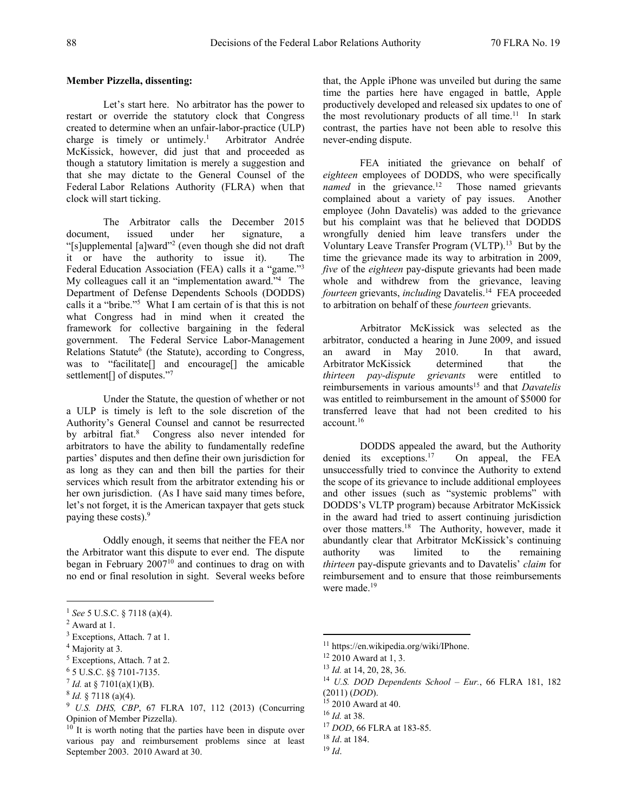## **Member Pizzella, dissenting:**

Let's start here. No arbitrator has the power to restart or override the statutory clock that Congress created to determine when an unfair-labor-practice (ULP) charge is timely or untimely.<sup>1</sup> Arbitrator Andrée McKissick, however, did just that and proceeded as though a statutory limitation is merely a suggestion and that she may dictate to the General Counsel of the Federal Labor Relations Authority (FLRA) when that clock will start ticking.

The Arbitrator calls the December 2015 document, issued under her signature, a "[s]upplemental [a]ward"2 (even though she did not draft it or have the authority to issue it). The Federal Education Association (FEA) calls it a "game."<sup>3</sup> My colleagues call it an "implementation award."4 The Department of Defense Dependents Schools (DODDS) calls it a "bribe."5 What I am certain of is that this is not what Congress had in mind when it created the framework for collective bargaining in the federal government. The Federal Service Labor-Management Relations Statute<sup>6</sup> (the Statute), according to Congress, was to "facilitate[] and encourage[] the amicable settlement<sup>[]</sup> of disputes."<sup>7</sup>

Under the Statute, the question of whether or not a ULP is timely is left to the sole discretion of the Authority's General Counsel and cannot be resurrected by arbitral fiat.<sup>8</sup> Congress also never intended for arbitrators to have the ability to fundamentally redefine parties' disputes and then define their own jurisdiction for as long as they can and then bill the parties for their services which result from the arbitrator extending his or her own jurisdiction. (As I have said many times before, let's not forget, it is the American taxpayer that gets stuck paying these costs).9

Oddly enough, it seems that neither the FEA nor the Arbitrator want this dispute to ever end. The dispute began in February 200710 and continues to drag on with no end or final resolution in sight. Several weeks before

 $\overline{a}$ 

<sup>8</sup> *Id.* § 7118 (a)(4).

that, the Apple iPhone was unveiled but during the same time the parties here have engaged in battle, Apple productively developed and released six updates to one of the most revolutionary products of all time.<sup>11</sup> In stark contrast, the parties have not been able to resolve this never-ending dispute.

 FEA initiated the grievance on behalf of *eighteen* employees of DODDS, who were specifically *named* in the grievance.<sup>12</sup> Those named grievants complained about a variety of pay issues. Another employee (John Davatelis) was added to the grievance but his complaint was that he believed that DODDS wrongfully denied him leave transfers under the Voluntary Leave Transfer Program (VLTP).13 But by the time the grievance made its way to arbitration in 2009, *five* of the *eighteen* pay-dispute grievants had been made whole and withdrew from the grievance, leaving *fourteen* grievants, *including* Davatelis.14 FEA proceeded to arbitration on behalf of these *fourteen* grievants.

Arbitrator McKissick was selected as the arbitrator, conducted a hearing in June 2009, and issued an award in May 2010. In that award, Arbitrator McKissick determined that the *thirteen pay-dispute grievants* were entitled to reimbursements in various amounts15 and that *Davatelis* was entitled to reimbursement in the amount of \$5000 for transferred leave that had not been credited to his account.16

DODDS appealed the award, but the Authority denied its exceptions.<sup>17</sup> On appeal, the FEA unsuccessfully tried to convince the Authority to extend the scope of its grievance to include additional employees and other issues (such as "systemic problems" with DODDS's VLTP program) because Arbitrator McKissick in the award had tried to assert continuing jurisdiction over those matters.18 The Authority, however, made it abundantly clear that Arbitrator McKissick's continuing authority was limited to the remaining *thirteen* pay-dispute grievants and to Davatelis' *claim* for reimbursement and to ensure that those reimbursements were made.<sup>19</sup>

 $1$  *See* 5 U.S.C. § 7118 (a)(4).

 $2$  Award at 1.

<sup>&</sup>lt;sup>3</sup> Exceptions, Attach. 7 at 1.

<sup>&</sup>lt;sup>4</sup> Majority at 3.

<sup>&</sup>lt;sup>5</sup> Exceptions, Attach. 7 at 2.

<sup>6</sup> 5 U.S.C. §§ 7101-7135.

 $^7$  *Id.* at § 7101(a)(1)(B).

<sup>9</sup> *U.S. DHS, CBP*, 67 FLRA 107, 112 (2013) (Concurring Opinion of Member Pizzella).

 $10$ <sup>I0</sup> It is worth noting that the parties have been in dispute over various pay and reimbursement problems since at least September 2003. 2010 Award at 30.

<sup>11</sup> https://en.wikipedia.org/wiki/IPhone.

 $12\ 2010$  Award at 1, 3.

<sup>13</sup> *Id.* at 14, 20, 28, 36. 14 *U.S. DOD Dependents School – Eur.*, 66 FLRA 181, 182 (2011) (*DOD*).

<sup>&</sup>lt;sup>15</sup> 2010 Award at 40.

<sup>16</sup> *Id.* at 38.

<sup>17</sup> *DOD*, 66 FLRA at 183-85.

<sup>18</sup> *Id*. at 184.

<sup>19</sup> *Id*.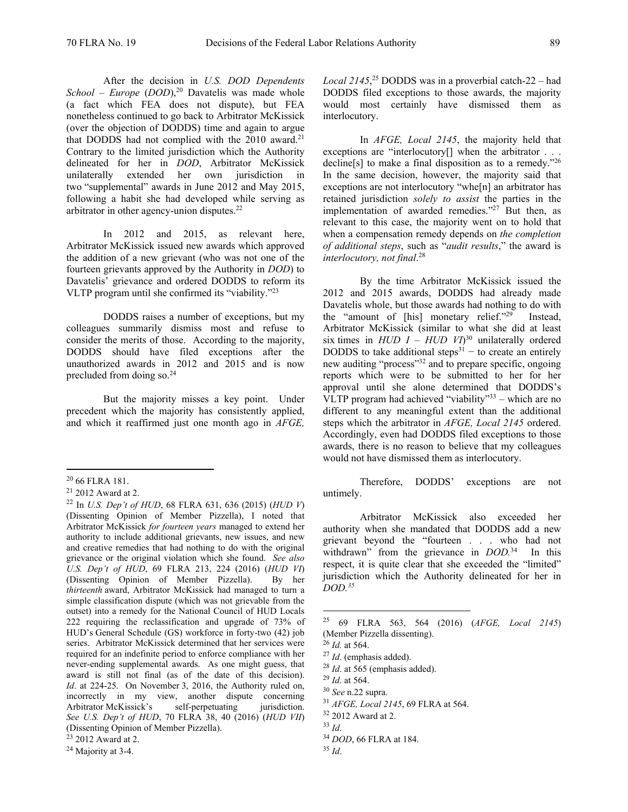After the decision in *U.S. DOD Dependents School – Europe (DOD)*,<sup>20</sup> Davatelis was made whole (a fact which FEA does not dispute), but FEA nonetheless continued to go back to Arbitrator McKissick (over the objection of DODDS) time and again to argue that DODDS had not complied with the 2010 award.<sup>21</sup> Contrary to the limited jurisdiction which the Authority delineated for her in *DOD*, Arbitrator McKissick unilaterally extended her own jurisdiction in two "supplemental" awards in June 2012 and May 2015, following a habit she had developed while serving as arbitrator in other agency-union disputes.<sup>22</sup>

In 2012 and 2015, as relevant here, Arbitrator McKissick issued new awards which approved the addition of a new grievant (who was not one of the fourteen grievants approved by the Authority in *DOD*) to Davatelis' grievance and ordered DODDS to reform its VLTP program until she confirmed its "viability."23

DODDS raises a number of exceptions, but my colleagues summarily dismiss most and refuse to consider the merits of those. According to the majority, DODDS should have filed exceptions after the unauthorized awards in 2012 and 2015 and is now precluded from doing so.<sup>24</sup>

But the majority misses a key point. Under precedent which the majority has consistently applied, and which it reaffirmed just one month ago in *AFGE,* 

 $\overline{a}$ 

*Local 2145*, 25 DODDS was in a proverbial catch-22 – had DODDS filed exceptions to those awards, the majority would most certainly have dismissed them as interlocutory.

In *AFGE, Local 2145*, the majority held that exceptions are "interlocutory[] when the arbitrator . . . decline[s] to make a final disposition as to a remedy."26 In the same decision, however, the majority said that exceptions are not interlocutory "whe[n] an arbitrator has retained jurisdiction *solely to assist* the parties in the implementation of awarded remedies."27 But then, as relevant to this case, the majority went on to hold that when a compensation remedy depends on *the completion of additional steps*, such as "*audit results*," the award is *interlocutory, not final*. 28

By the time Arbitrator McKissick issued the 2012 and 2015 awards, DODDS had already made Davatelis whole, but those awards had nothing to do with the "amount of [his] monetary relief."29 Instead, Arbitrator McKissick (similar to what she did at least six times in  $HUD I - HUD VI$ <sup>30</sup> unilaterally ordered DODDS to take additional steps $31 -$  to create an entirely new auditing "process"32 and to prepare specific, ongoing reports which were to be submitted to her for her approval until she alone determined that DODDS's VLTP program had achieved "viability"<sup>33</sup> – which are no different to any meaningful extent than the additional steps which the arbitrator in *AFGE, Local 2145* ordered. Accordingly, even had DODDS filed exceptions to those awards, there is no reason to believe that my colleagues would not have dismissed them as interlocutory.

Therefore, DODDS' exceptions are not untimely.

Arbitrator McKissick also exceeded her authority when she mandated that DODDS add a new grievant beyond the "fourteen . . . who had not withdrawn" from the grievance in *DOD*.<sup>34</sup> In this respect, it is quite clear that she exceeded the "limited" jurisdiction which the Authority delineated for her in *DOD.35* 

<sup>20 66</sup> FLRA 181.

<sup>21 2012</sup> Award at 2.

<sup>22</sup> In *U.S. Dep't of HUD*, 68 FLRA 631, 636 (2015) (*HUD V*) (Dissenting Opinion of Member Pizzella), I noted that Arbitrator McKissick *for fourteen years* managed to extend her authority to include additional grievants, new issues, and new and creative remedies that had nothing to do with the original grievance or the original violation which she found. *See also U.S. Dep't of HUD*, 69 FLRA 213, 224 (2016) (*HUD VI*) (Dissenting Opinion of Member Pizzella). By her *thirteenth* award, Arbitrator McKissick had managed to turn a simple classification dispute (which was not grievable from the outset) into a remedy for the National Council of HUD Locals 222 requiring the reclassification and upgrade of 73% of HUD's General Schedule (GS) workforce in forty-two (42) job series. Arbitrator McKissick determined that her services were required for an indefinite period to enforce compliance with her never-ending supplemental awards. As one might guess, that award is still not final (as of the date of this decision). *Id*. at 224-25. On November 3, 2016, the Authority ruled on, incorrectly in my view, another dispute concerning Arbitrator McKissick's self-perpetuating jurisdiction. *See U.S. Dep't of HUD*, 70 FLRA 38, 40 (2016) (*HUD VII*) (Dissenting Opinion of Member Pizzella).

<sup>&</sup>lt;sup>23</sup> 2012 Award at 2.

<sup>24</sup> Majority at 3-4.

<sup>25 69</sup> FLRA 563, 564 (2016) (*AFGE, Local 2145*) (Member Pizzella dissenting).

<sup>26</sup> *Id.* at 564.

<sup>27</sup> *Id*. (emphasis added).

<sup>28</sup> *Id*. at 565 (emphasis added).

<sup>29</sup> *Id*. at 564.

<sup>30</sup> *See* n.22 supra.

<sup>31</sup> *AFGE, Local 2145*, 69 FLRA at 564.

<sup>32 2012</sup> Award at 2.

<sup>33</sup> *Id*. 34 *DOD*, 66 FLRA at 184.

<sup>35</sup> *Id*.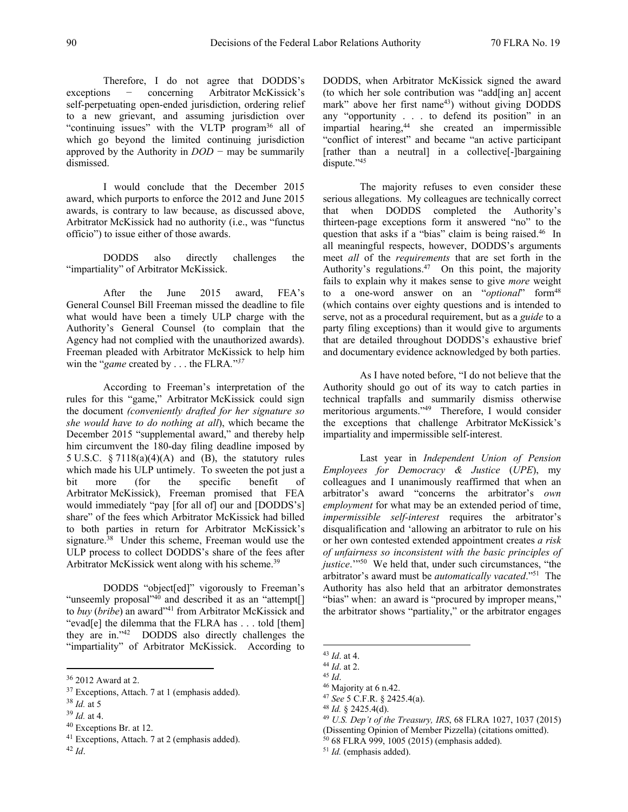Therefore, I do not agree that DODDS's<br>ns – concerning Arbitrator McKissick's exceptions − concerning Arbitrator McKissick's self-perpetuating open-ended jurisdiction, ordering relief to a new grievant, and assuming jurisdiction over "continuing issues" with the VLTP program<sup>36</sup> all of which go beyond the limited continuing jurisdiction approved by the Authority in *DOD −* may be summarily dismissed.

I would conclude that the December 2015 award, which purports to enforce the 2012 and June 2015 awards, is contrary to law because, as discussed above, Arbitrator McKissick had no authority (i.e., was "functus officio") to issue either of those awards.

 DODDS also directly challenges the "impartiality" of Arbitrator McKissick.

After the June 2015 award, FEA's General Counsel Bill Freeman missed the deadline to file what would have been a timely ULP charge with the Authority's General Counsel (to complain that the Agency had not complied with the unauthorized awards). Freeman pleaded with Arbitrator McKissick to help him win the "*game* created by . . . the FLRA*.*"*37* 

According to Freeman's interpretation of the rules for this "game," Arbitrator McKissick could sign the document *(conveniently drafted for her signature so she would have to do nothing at all*), which became the December 2015 "supplemental award," and thereby help him circumvent the 180-day filing deadline imposed by 5 U.S.C.  $\S 7118(a)(4)(A)$  and (B), the statutory rules which made his ULP untimely. To sweeten the pot just a bit more (for the specific benefit of Arbitrator McKissick), Freeman promised that FEA would immediately "pay [for all of] our and [DODDS's] share" of the fees which Arbitrator McKissick had billed to both parties in return for Arbitrator McKissick's signature.<sup>38</sup> Under this scheme, Freeman would use the ULP process to collect DODDS's share of the fees after Arbitrator McKissick went along with his scheme.<sup>39</sup>

DODDS "object[ed]" vigorously to Freeman's "unseemly proposal"<sup>40</sup> and described it as an "attempt<sup>[]</sup> to *buy* (*bribe*) an award"41 from Arbitrator McKissick and "evad[e] the dilemma that the FLRA has . . . told [them] they are in."42 DODDS also directly challenges the "impartiality" of Arbitrator McKissick. According to

 $\overline{a}$ 

DODDS, when Arbitrator McKissick signed the award (to which her sole contribution was "add[ing an] accent mark" above her first name<sup>43</sup>) without giving DODDS any "opportunity . . . to defend its position" in an impartial hearing,<sup>44</sup> she created an impermissible "conflict of interest" and became "an active participant [rather than a neutral] in a collective<sup>[-</sup>]bargaining dispute."45

The majority refuses to even consider these serious allegations. My colleagues are technically correct that when DODDS completed the Authority's thirteen-page exceptions form it answered "no" to the question that asks if a "bias" claim is being raised.<sup>46</sup> In all meaningful respects, however, DODDS's arguments meet *all* of the *requirements* that are set forth in the Authority's regulations.47 On this point, the majority fails to explain why it makes sense to give *more* weight to a one-word answer on an "optional" form<sup>48</sup> (which contains over eighty questions and is intended to serve, not as a procedural requirement, but as a *guide* to a party filing exceptions) than it would give to arguments that are detailed throughout DODDS's exhaustive brief and documentary evidence acknowledged by both parties.

As I have noted before, "I do not believe that the Authority should go out of its way to catch parties in technical trapfalls and summarily dismiss otherwise meritorious arguments."49 Therefore, I would consider the exceptions that challenge Arbitrator McKissick's impartiality and impermissible self-interest.

Last year in *Independent Union of Pension Employees for Democracy & Justice* (*UPE*), my colleagues and I unanimously reaffirmed that when an arbitrator's award "concerns the arbitrator's *own employment* for what may be an extended period of time, *impermissible self-interest* requires the arbitrator's disqualification and 'allowing an arbitrator to rule on his or her own contested extended appointment creates *a risk of unfairness so inconsistent with the basic principles of justice*.'"50 We held that, under such circumstances, "the arbitrator's award must be *automatically vacated*."51 The Authority has also held that an arbitrator demonstrates "bias" when: an award is "procured by improper means," the arbitrator shows "partiality," or the arbitrator engages

- 
- 44 *Id.* at 2.<br>45 *Id.*<br>46 Majority at 6 n.42.<br>47 *See* 5 C.F.R. § 2425.4(a).

<sup>36 2012</sup> Award at 2.

 $37$  Exceptions, Attach. 7 at 1 (emphasis added).

<sup>38</sup> *Id.* at 5

<sup>39</sup> *Id.* at 4.

<sup>40</sup> Exceptions Br. at 12.

<sup>41</sup> Exceptions, Attach. 7 at 2 (emphasis added). 42 *Id*.

 $43$  *Id.* at 4.

<sup>48</sup> *Id.* § 2425.4(d). <sup>48</sup> *Id.* § 2425.4(d). <sup>49</sup> *U.S. Dep't of the Treasury, IRS, 68 FLRA 1027, 1037 (2015)* 

<sup>(</sup>Dissenting Opinion of Member Pizzella) (citations omitted).

<sup>50 68</sup> FLRA 999, 1005 (2015) (emphasis added). 51 *Id.* (emphasis added).